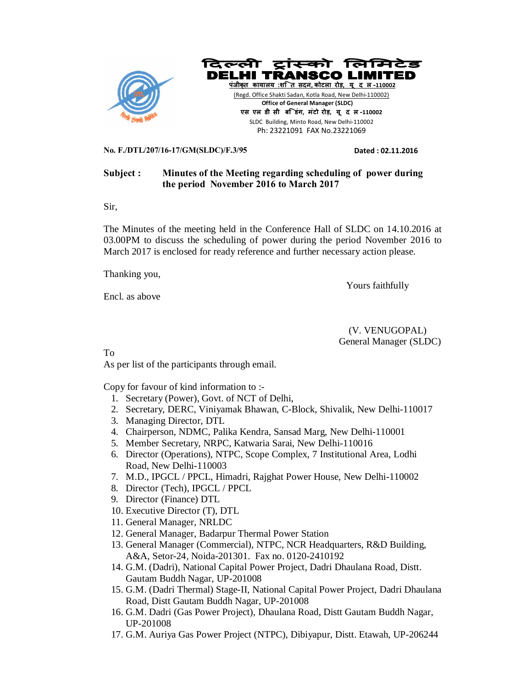



**No. F./DTL/207/16-17/GM(SLDC)/F.3/95 Dated : 02.11.2016** 

## **Subject : Minutes of the Meeting regarding scheduling of power during the period November 2016 to March 2017**

Sir,

The Minutes of the meeting held in the Conference Hall of SLDC on 14.10.2016 at 03.00PM to discuss the scheduling of power during the period November 2016 to March 2017 is enclosed for ready reference and further necessary action please.

Thanking you,

Yours faithfully

Encl. as above

 (V. VENUGOPAL) General Manager (SLDC)

To

As per list of the participants through email.

Copy for favour of kind information to :-

- 1. Secretary (Power), Govt. of NCT of Delhi,
- 2. Secretary, DERC, Viniyamak Bhawan, C-Block, Shivalik, New Delhi-110017
- 3. Managing Director, DTL
- 4. Chairperson, NDMC, Palika Kendra, Sansad Marg, New Delhi-110001
- 5. Member Secretary, NRPC, Katwaria Sarai, New Delhi-110016
- 6. Director (Operations), NTPC, Scope Complex, 7 Institutional Area, Lodhi Road, New Delhi-110003
- 7. M.D., IPGCL / PPCL, Himadri, Rajghat Power House, New Delhi-110002
- 8. Director (Tech), IPGCL / PPCL
- 9. Director (Finance) DTL
- 10. Executive Director (T), DTL
- 11. General Manager, NRLDC
- 12. General Manager, Badarpur Thermal Power Station
- 13. General Manager (Commercial), NTPC, NCR Headquarters, R&D Building, A&A, Setor-24, Noida-201301. Fax no. 0120-2410192
- 14. G.M. (Dadri), National Capital Power Project, Dadri Dhaulana Road, Distt. Gautam Buddh Nagar, UP-201008
- 15. G.M. (Dadri Thermal) Stage-II, National Capital Power Project, Dadri Dhaulana Road, Distt Gautam Buddh Nagar, UP-201008
- 16. G.M. Dadri (Gas Power Project), Dhaulana Road, Distt Gautam Buddh Nagar, UP-201008
- 17. G.M. Auriya Gas Power Project (NTPC), Dibiyapur, Distt. Etawah, UP-206244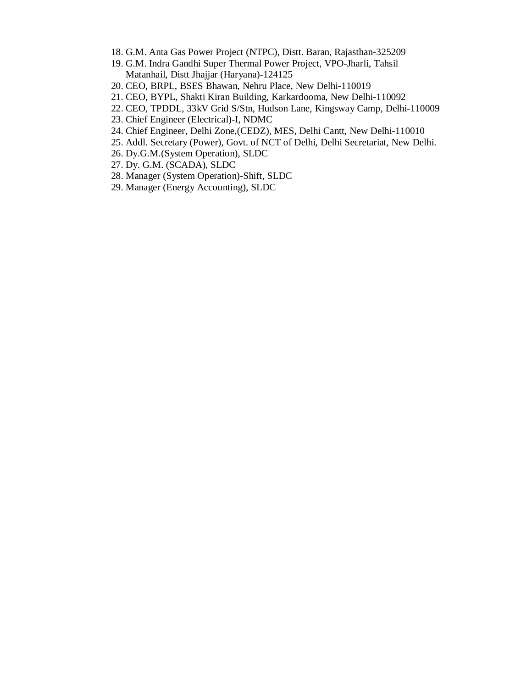- 18. G.M. Anta Gas Power Project (NTPC), Distt. Baran, Rajasthan-325209
- 19. G.M. Indra Gandhi Super Thermal Power Project, VPO-Jharli, Tahsil Matanhail, Distt Jhajjar (Haryana)-124125
- 20. CEO, BRPL, BSES Bhawan, Nehru Place, New Delhi-110019
- 21. CEO, BYPL, Shakti Kiran Building, Karkardooma, New Delhi-110092
- 22. CEO, TPDDL, 33kV Grid S/Stn, Hudson Lane, Kingsway Camp, Delhi-110009
- 23. Chief Engineer (Electrical)-I, NDMC
- 24. Chief Engineer, Delhi Zone,(CEDZ), MES, Delhi Cantt, New Delhi-110010
- 25. Addl. Secretary (Power), Govt. of NCT of Delhi, Delhi Secretariat, New Delhi.
- 26. Dy.G.M.(System Operation), SLDC
- 27. Dy. G.M. (SCADA), SLDC
- 28. Manager (System Operation)-Shift, SLDC
- 29. Manager (Energy Accounting), SLDC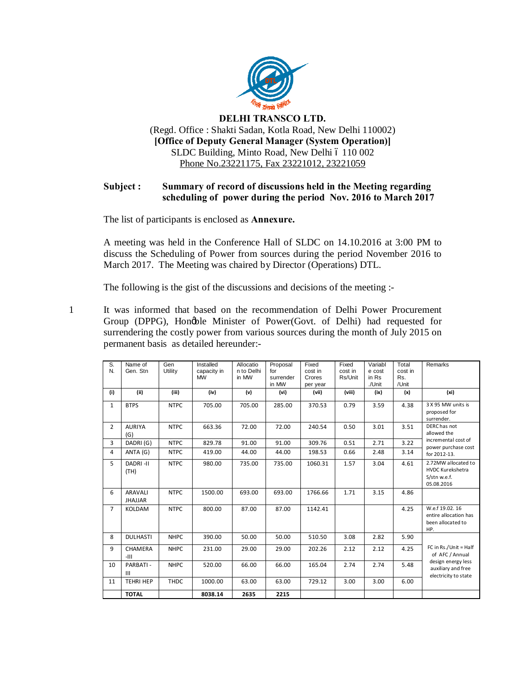

## **DELHI TRANSCO LTD.** (Regd. Office : Shakti Sadan, Kotla Road, New Delhi 110002) **[Office of Deputy General Manager (System Operation)]** SLDC Building, Minto Road, New Delhi ó 110 002 Phone No.23221175, Fax 23221012, 23221059

### **Subject : Summary of record of discussions held in the Meeting regarding scheduling of power during the period Nov. 2016 to March 2017**

The list of participants is enclosed as **Annexure.**

A meeting was held in the Conference Hall of SLDC on 14.10.2016 at 3:00 PM to discuss the Scheduling of Power from sources during the period November 2016 to March 2017. The Meeting was chaired by Director (Operations) DTL.

The following is the gist of the discussions and decisions of the meeting :-

1 It was informed that based on the recommendation of Delhi Power Procurement Group (DPPG), Honoble Minister of Power(Govt. of Delhi) had requested for surrendering the costly power from various sources during the month of July 2015 on permanent basis as detailed hereunder:-

| S.<br>N.       | Name of<br>Gen. Stn              | Gen<br>Utility | Installed<br>capacity in | Allocatio<br>n to Delhi | Proposal<br>for | Fixed<br>cost in | Fixed<br>cost in | Variabl<br>e cost | Total<br>cost in | Remarks                                                               |
|----------------|----------------------------------|----------------|--------------------------|-------------------------|-----------------|------------------|------------------|-------------------|------------------|-----------------------------------------------------------------------|
|                |                                  |                | <b>MW</b>                | in MW                   | surrender       | Crores           | Rs/Unit          | in Rs             | Rs.              |                                                                       |
|                |                                  |                |                          |                         | in MW           | per year         |                  | ./Unit            | /Unit            |                                                                       |
| (i)            | (ii)                             | (iii)          | (iv)                     | (v)                     | (vi)            | (vii)            | (viii)           | (ix)              | (x)              | (xi)                                                                  |
| $\mathbf{1}$   | <b>BTPS</b>                      | <b>NTPC</b>    | 705.00                   | 705.00                  | 285.00          | 370.53           | 0.79             | 3.59              | 4.38             | 3 X 95 MW units is<br>proposed for<br>surrender.                      |
| $\overline{2}$ | <b>AURIYA</b><br>(G)             | <b>NTPC</b>    | 663.36                   | 72.00                   | 72.00           | 240.54           | 0.50             | 3.01              | 3.51             | DERC has not<br>allowed the                                           |
| 3              | DADRI(G)                         | <b>NTPC</b>    | 829.78                   | 91.00                   | 91.00           | 309.76           | 0.51             | 2.71              | 3.22             | incremental cost of<br>power purchase cost                            |
| 4              | ANTA (G)                         | <b>NTPC</b>    | 419.00                   | 44.00                   | 44.00           | 198.53           | 0.66             | 2.48              | 3.14             | for 2012-13.                                                          |
| 5              | DADRI-II<br>(TH)                 | <b>NTPC</b>    | 980.00                   | 735.00                  | 735.00          | 1060.31          | 1.57             | 3.04              | 4.61             | 2.72MW allocated to<br>HVDC Kurekshetra<br>S/stn w.e.f.<br>05.08.2016 |
| 6              | <b>ARAVALI</b><br><b>JHAJJAR</b> | <b>NTPC</b>    | 1500.00                  | 693.00                  | 693.00          | 1766.66          | 1.71             | 3.15              | 4.86             |                                                                       |
| $\overline{7}$ | <b>KOLDAM</b>                    | <b>NTPC</b>    | 800.00                   | 87.00                   | 87.00           | 1142.41          |                  |                   | 4.25             | W.e.f 19.02. 16<br>entire allocation has<br>been allocated to<br>HP.  |
| 8              | <b>DULHASTI</b>                  | <b>NHPC</b>    | 390.00                   | 50.00                   | 50.00           | 510.50           | 3.08             | 2.82              | 5.90             |                                                                       |
| 9              | <b>CHAMERA</b><br>$-III$         | <b>NHPC</b>    | 231.00                   | 29.00                   | 29.00           | 202.26           | 2.12             | 2.12              | 4.25             | FC in $Rs./Unit = Half$<br>of AFC / Annual                            |
| 10             | PARBATI -<br>$\mathbf{H}$        | <b>NHPC</b>    | 520.00                   | 66.00                   | 66.00           | 165.04           | 2.74             | 2.74              | 5.48             | design energy less<br>auxiliary and free<br>electricity to state      |
| 11             | <b>TEHRI HEP</b>                 | <b>THDC</b>    | 1000.00                  | 63.00                   | 63.00           | 729.12           | 3.00             | 3.00              | 6.00             |                                                                       |
|                | <b>TOTAL</b>                     |                | 8038.14                  | 2635                    | 2215            |                  |                  |                   |                  |                                                                       |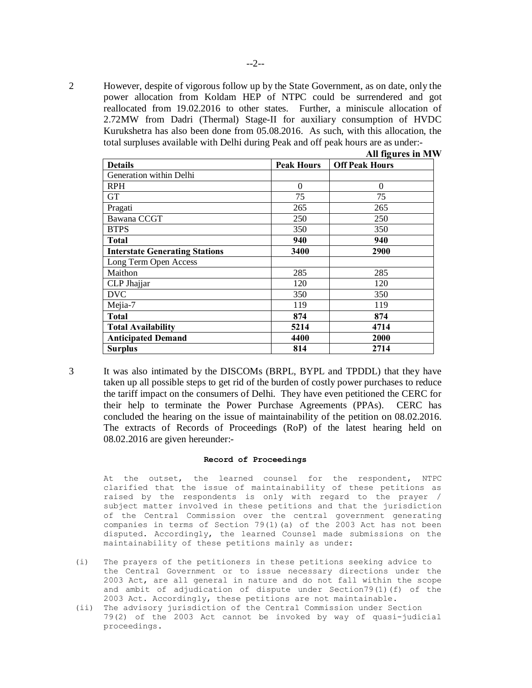2 However, despite of vigorous follow up by the State Government, as on date, only the power allocation from Koldam HEP of NTPC could be surrendered and got reallocated from 19.02.2016 to other states. Further, a miniscule allocation of 2.72MW from Dadri (Thermal) Stage-II for auxiliary consumption of HVDC Kurukshetra has also been done from 05.08.2016. As such, with this allocation, the total surpluses available with Delhi during Peak and off peak hours are as under:-

|                                       |                   | All figures in MW     |
|---------------------------------------|-------------------|-----------------------|
| <b>Details</b>                        | <b>Peak Hours</b> | <b>Off Peak Hours</b> |
| Generation within Delhi               |                   |                       |
| <b>RPH</b>                            | $\boldsymbol{0}$  | $\theta$              |
| <b>GT</b>                             | 75                | 75                    |
| Pragati                               | 265               | 265                   |
| Bawana CCGT                           | 250               | 250                   |
| <b>BTPS</b>                           | 350               | 350                   |
| <b>Total</b>                          | 940               | 940                   |
| <b>Interstate Generating Stations</b> | 3400              | 2900                  |
| Long Term Open Access                 |                   |                       |
| Maithon                               | 285               | 285                   |
| CLP Jhajjar                           | 120               | 120                   |
| <b>DVC</b>                            | 350               | 350                   |
| Mejia-7                               | 119               | 119                   |
| <b>Total</b>                          | 874               | 874                   |
| <b>Total Availability</b>             | 5214              | 4714                  |
| <b>Anticipated Demand</b>             | 4400              | 2000                  |
| <b>Surplus</b>                        | 814               | 2714                  |

3 It was also intimated by the DISCOMs (BRPL, BYPL and TPDDL) that they have taken up all possible steps to get rid of the burden of costly power purchases to reduce the tariff impact on the consumers of Delhi. They have even petitioned the CERC for their help to terminate the Power Purchase Agreements (PPAs). CERC has concluded the hearing on the issue of maintainability of the petition on 08.02.2016. The extracts of Records of Proceedings (RoP) of the latest hearing held on 08.02.2016 are given hereunder:-

#### **Record of Proceedings**

At the outset, the learned counsel for the respondent, NTPC clarified that the issue of maintainability of these petitions as raised by the respondents is only with regard to the prayer / subject matter involved in these petitions and that the jurisdiction of the Central Commission over the central government generating companies in terms of Section  $79(1)(a)$  of the 2003 Act has not been disputed. Accordingly, the learned Counsel made submissions on the maintainability of these petitions mainly as under:

- (i) The prayers of the petitioners in these petitions seeking advice to the Central Government or to issue necessary directions under the 2003 Act, are all general in nature and do not fall within the scope and ambit of adjudication of dispute under Section79(1)(f) of the 2003 Act. Accordingly, these petitions are not maintainable.
- (ii) The advisory jurisdiction of the Central Commission under Section 79(2) of the 2003 Act cannot be invoked by way of quasi-judicial proceedings.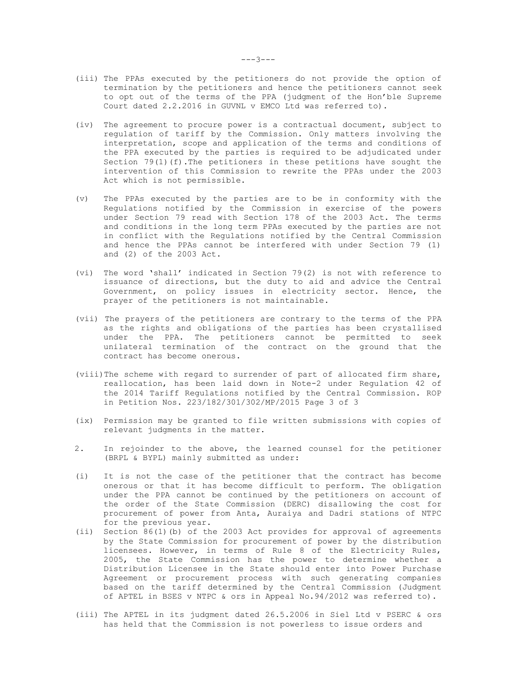- (iii) The PPAs executed by the petitioners do not provide the option of termination by the petitioners and hence the petitioners cannot seek to opt out of the terms of the PPA (judgment of the Hon'ble Supreme Court dated 2.2.2016 in GUVNL v EMCO Ltd was referred to).
- (iv) The agreement to procure power is a contractual document, subject to regulation of tariff by the Commission. Only matters involving the interpretation, scope and application of the terms and conditions of the PPA executed by the parties is required to be adjudicated under Section 79(1)(f). The petitioners in these petitions have sought the intervention of this Commission to rewrite the PPAs under the 2003 Act which is not permissible.
- (v) The PPAs executed by the parties are to be in conformity with the Regulations notified by the Commission in exercise of the powers under Section 79 read with Section 178 of the 2003 Act. The terms and conditions in the long term PPAs executed by the parties are not in conflict with the Regulations notified by the Central Commission and hence the PPAs cannot be interfered with under Section 79 (1) and (2) of the 2003 Act.
- (vi) The word 'shall' indicated in Section 79(2) is not with reference to issuance of directions, but the duty to aid and advice the Central Government, on policy issues in electricity sector. Hence, the prayer of the petitioners is not maintainable.
- (vii) The prayers of the petitioners are contrary to the terms of the PPA as the rights and obligations of the parties has been crystallised under the PPA. The petitioners cannot be permitted to seek unilateral termination of the contract on the ground that the contract has become onerous.
- (viii)The scheme with regard to surrender of part of allocated firm share, reallocation, has been laid down in Note-2 under Regulation 42 of the 2014 Tariff Regulations notified by the Central Commission. ROP in Petition Nos. 223/182/301/302/MP/2015 Page 3 of 3
- (ix) Permission may be granted to file written submissions with copies of relevant judgments in the matter.
- 2. In rejoinder to the above, the learned counsel for the petitioner (BRPL & BYPL) mainly submitted as under:
- (i) It is not the case of the petitioner that the contract has become onerous or that it has become difficult to perform. The obligation under the PPA cannot be continued by the petitioners on account of the order of the State Commission (DERC) disallowing the cost for procurement of power from Anta, Auraiya and Dadri stations of NTPC for the previous year.
- (ii) Section 86(1)(b) of the 2003 Act provides for approval of agreements by the State Commission for procurement of power by the distribution licensees. However, in terms of Rule 8 of the Electricity Rules, 2005, the State Commission has the power to determine whether a Distribution Licensee in the State should enter into Power Purchase Agreement or procurement process with such generating companies based on the tariff determined by the Central Commission (Judgment of APTEL in BSES v NTPC & ors in Appeal No.94/2012 was referred to).
- (iii) The APTEL in its judgment dated 26.5.2006 in Siel Ltd v PSERC & ors has held that the Commission is not powerless to issue orders and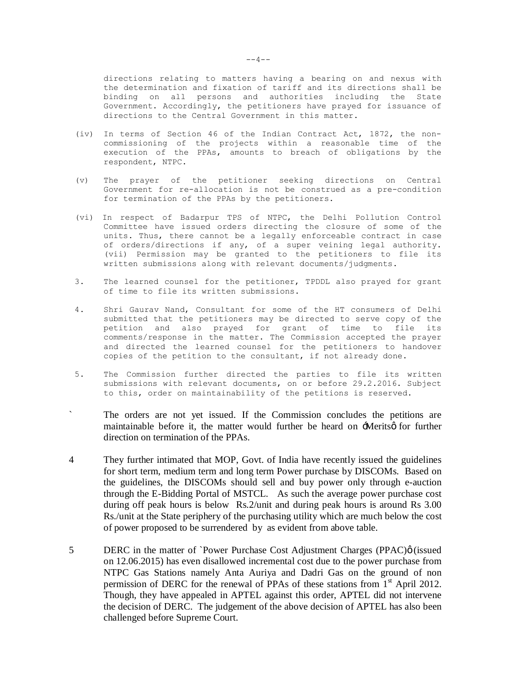directions relating to matters having a bearing on and nexus with the determination and fixation of tariff and its directions shall be binding on all persons and authorities including the State Government. Accordingly, the petitioners have prayed for issuance of directions to the Central Government in this matter.

- (iv) In terms of Section 46 of the Indian Contract Act, 1872, the noncommissioning of the projects within a reasonable time of the execution of the PPAs, amounts to breach of obligations by the respondent, NTPC.
- (v) The prayer of the petitioner seeking directions on Central Government for re-allocation is not be construed as a pre-condition for termination of the PPAs by the petitioners.
- (vi) In respect of Badarpur TPS of NTPC, the Delhi Pollution Control Committee have issued orders directing the closure of some of the units. Thus, there cannot be a legally enforceable contract in case of orders/directions if any, of a super veining legal authority. (vii) Permission may be granted to the petitioners to file its written submissions along with relevant documents/judgments.
- 3. The learned counsel for the petitioner, TPDDL also prayed for grant of time to file its written submissions.
- 4. Shri Gaurav Nand, Consultant for some of the HT consumers of Delhi submitted that the petitioners may be directed to serve copy of the petition and also prayed for grant of time to file its comments/response in the matter. The Commission accepted the prayer and directed the learned counsel for the petitioners to handover copies of the petition to the consultant, if not already done.
- 5. The Commission further directed the parties to file its written submissions with relevant documents, on or before 29.2.2016. Subject to this, order on maintainability of the petitions is reserved.
- ` The orders are not yet issued. If the Commission concludes the petitions are maintainable before it, the matter would further be heard on -Meritso for further direction on termination of the PPAs.
- 4 They further intimated that MOP, Govt. of India have recently issued the guidelines for short term, medium term and long term Power purchase by DISCOMs. Based on the guidelines, the DISCOMs should sell and buy power only through e-auction through the E-Bidding Portal of MSTCL. As such the average power purchase cost during off peak hours is below Rs.2/unit and during peak hours is around Rs 3.00 Rs./unit at the State periphery of the purchasing utility which are much below the cost of power proposed to be surrendered by as evident from above table.
- 5 DERC in the matter of `Power Purchase Cost Adjustment Charges (PPAC)ø (issued on 12.06.2015) has even disallowed incremental cost due to the power purchase from NTPC Gas Stations namely Anta Auriya and Dadri Gas on the ground of non permission of DERC for the renewal of PPAs of these stations from  $1<sup>st</sup>$  April 2012. Though, they have appealed in APTEL against this order, APTEL did not intervene the decision of DERC. The judgement of the above decision of APTEL has also been challenged before Supreme Court.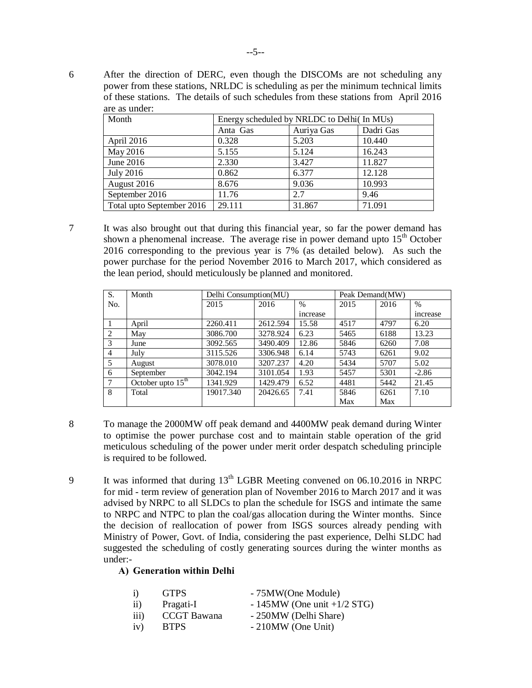6 After the direction of DERC, even though the DISCOMs are not scheduling any power from these stations, NRLDC is scheduling as per the minimum technical limits of these stations. The details of such schedules from these stations from April 2016 are as under:

| Month                     | Energy scheduled by NRLDC to Delhi(In MUs) |            |           |
|---------------------------|--------------------------------------------|------------|-----------|
|                           | Anta Gas                                   | Auriya Gas | Dadri Gas |
| April 2016                | 0.328                                      | 5.203      | 10.440    |
| May 2016                  | 5.155                                      | 5.124      | 16.243    |
| June 2016                 | 2.330                                      | 3.427      | 11.827    |
| <b>July 2016</b>          | 0.862                                      | 6.377      | 12.128    |
| August 2016               | 8.676                                      | 9.036      | 10.993    |
| September 2016            | 11.76                                      | 2.7        | 9.46      |
| Total upto September 2016 | 29.111                                     | 31.867     | 71.091    |

7 It was also brought out that during this financial year, so far the power demand has shown a phenomenal increase. The average rise in power demand upto  $15<sup>th</sup>$  October 2016 corresponding to the previous year is 7% (as detailed below). As such the power purchase for the period November 2016 to March 2017, which considered as the lean period, should meticulously be planned and monitored.

| S.             | Month                         | Delhi Consumption(MU) |          |          | Peak Demand(MW) |      |          |  |
|----------------|-------------------------------|-----------------------|----------|----------|-----------------|------|----------|--|
| No.            |                               | 2015                  | 2016     | $\%$     | 2015            | 2016 | $\%$     |  |
|                |                               |                       |          | increase |                 |      | increase |  |
|                | April                         | 2260.411              | 2612.594 | 15.58    | 4517            | 4797 | 6.20     |  |
| 2              | May                           | 3086.700              | 3278.924 | 6.23     | 5465            | 6188 | 13.23    |  |
| 3              | June                          | 3092.565              | 3490.409 | 12.86    | 5846            | 6260 | 7.08     |  |
| $\overline{4}$ | July                          | 3115.526              | 3306.948 | 6.14     | 5743            | 6261 | 9.02     |  |
| 5              | August                        | 3078.010              | 3207.237 | 4.20     | 5434            | 5707 | 5.02     |  |
| 6              | September                     | 3042.194              | 3101.054 | 1.93     | 5457            | 5301 | $-2.86$  |  |
| 7              | October upto $15^{\text{th}}$ | 1341.929              | 1429.479 | 6.52     | 4481            | 5442 | 21.45    |  |
| 8              | Total                         | 19017.340             | 20426.65 | 7.41     | 5846            | 6261 | 7.10     |  |
|                |                               |                       |          |          | Max             | Max  |          |  |

- 8 To manage the 2000MW off peak demand and 4400MW peak demand during Winter to optimise the power purchase cost and to maintain stable operation of the grid meticulous scheduling of the power under merit order despatch scheduling principle is required to be followed.
- 9 It was informed that during 13<sup>th</sup> LGBR Meeting convened on 06.10.2016 in NRPC for mid - term review of generation plan of November 2016 to March 2017 and it was advised by NRPC to all SLDCs to plan the schedule for ISGS and intimate the same to NRPC and NTPC to plan the coal/gas allocation during the Winter months. Since the decision of reallocation of power from ISGS sources already pending with Ministry of Power, Govt. of India, considering the past experience, Delhi SLDC had suggested the scheduling of costly generating sources during the winter months as under:-

#### **A) Generation within Delhi**

| $\mathbf{i}$  | <b>GTPS</b> | - 75MW(One Module)             |
|---------------|-------------|--------------------------------|
| $\mathbf{ii}$ | Pragati-I   | $-145MW$ (One unit $+1/2$ STG) |
| iii)          | CCGT Bawana | - 250MW (Delhi Share)          |
| iv)           | <b>BTPS</b> | $-210MW$ (One Unit)            |

--5--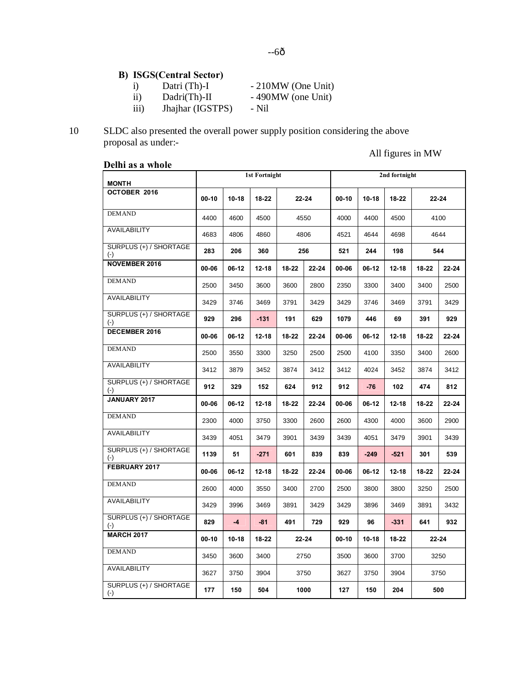# **B) ISGS(Central Sector)**

- i) Datri (Th)-I 210MW (One Unit)<br>ii) Dadri(Th)-II 490MW (one Unit)
- ii)  $Dadir(Th)-II$  490MW (one Unit)
- iii) Jhajhar (IGSTPS) Nil

# 10 SLDC also presented the overall power supply position considering the above proposal as under:-

## All figures in MW

| Delhi as a whole                |           |           |                      |       |           |           |           |               |       |       |
|---------------------------------|-----------|-----------|----------------------|-------|-----------|-----------|-----------|---------------|-------|-------|
|                                 |           |           | <b>1st Fortnight</b> |       |           |           |           | 2nd fortnight |       |       |
| <b>MONTH</b><br>OCTOBER 2016    |           |           |                      |       |           |           |           |               |       |       |
|                                 | $00 - 10$ | $10 - 18$ | 18-22                |       | $22 - 24$ | $00 - 10$ | $10 - 18$ | 18-22         |       | 22-24 |
| <b>DEMAND</b>                   | 4400      | 4600      | 4500                 |       | 4550      | 4000      | 4400      | 4500          |       | 4100  |
| <b>AVAILABILITY</b>             | 4683      | 4806      | 4860                 |       | 4806      | 4521      | 4644      | 4698          |       | 4644  |
| SURPLUS (+) / SHORTAGE<br>$(-)$ | 283       | 206       | 360                  |       | 256       | 521       | 244       | 198           |       | 544   |
| <b>NOVEMBER 2016</b>            | 00-06     | 06-12     | $12 - 18$            | 18-22 | 22-24     | 00-06     | $06-12$   | $12 - 18$     | 18-22 | 22-24 |
| <b>DEMAND</b>                   | 2500      | 3450      | 3600                 | 3600  | 2800      | 2350      | 3300      | 3400          | 3400  | 2500  |
| <b>AVAILABILITY</b>             | 3429      | 3746      | 3469                 | 3791  | 3429      | 3429      | 3746      | 3469          | 3791  | 3429  |
| SURPLUS (+) / SHORTAGE<br>$(-)$ | 929       | 296       | $-131$               | 191   | 629       | 1079      | 446       | 69            | 391   | 929   |
| DECEMBER 2016                   | 00-06     | 06-12     | 12-18                | 18-22 | 22-24     | 00-06     | 06-12     | 12-18         | 18-22 | 22-24 |
| <b>DEMAND</b>                   | 2500      | 3550      | 3300                 | 3250  | 2500      | 2500      | 4100      | 3350          | 3400  | 2600  |
| AVAILABILITY                    | 3412      | 3879      | 3452                 | 3874  | 3412      | 3412      | 4024      | 3452          | 3874  | 3412  |
| SURPLUS (+) / SHORTAGE<br>$(-)$ | 912       | 329       | 152                  | 624   | 912       | 912       | $-76$     | 102           | 474   | 812   |
| JANUARY 2017                    | 00-06     | 06-12     | 12-18                | 18-22 | $22 - 24$ | 00-06     | 06-12     | $12 - 18$     | 18-22 | 22-24 |
| <b>DEMAND</b>                   | 2300      | 4000      | 3750                 | 3300  | 2600      | 2600      | 4300      | 4000          | 3600  | 2900  |
| <b>AVAILABILITY</b>             | 3439      | 4051      | 3479                 | 3901  | 3439      | 3439      | 4051      | 3479          | 3901  | 3439  |
| SURPLUS (+) / SHORTAGE<br>$(-)$ | 1139      | 51        | $-271$               | 601   | 839       | 839       | $-249$    | $-521$        | 301   | 539   |
| FEBRUARY 2017                   | 00-06     | 06-12     | 12-18                | 18-22 | 22-24     | 00-06     | 06-12     | 12-18         | 18-22 | 22-24 |
| <b>DEMAND</b>                   | 2600      | 4000      | 3550                 | 3400  | 2700      | 2500      | 3800      | 3800          | 3250  | 2500  |
| AVAILABILITY                    | 3429      | 3996      | 3469                 | 3891  | 3429      | 3429      | 3896      | 3469          | 3891  | 3432  |
| SURPLUS (+) / SHORTAGE<br>$(-)$ | 829       | $-4$      | $-81$                | 491   | 729       | 929       | 96        | $-331$        | 641   | 932   |
| <b>MARCH 2017</b>               | $00 - 10$ | 10-18     | 18-22                |       | $22 - 24$ | 00-10     | $10 - 18$ | 18-22         |       | 22-24 |
| <b>DEMAND</b>                   | 3450      | 3600      | 3400                 |       | 2750      | 3500      | 3600      | 3700          | 3250  |       |
| <b>AVAILABILITY</b>             | 3627      | 3750      | 3904                 |       | 3750      | 3627      | 3750      | 3904          |       | 3750  |
| SURPLUS (+) / SHORTAGE<br>$(-)$ | 177       | 150       | 504                  |       | 1000      | 127       | 150       | 204           |       | 500   |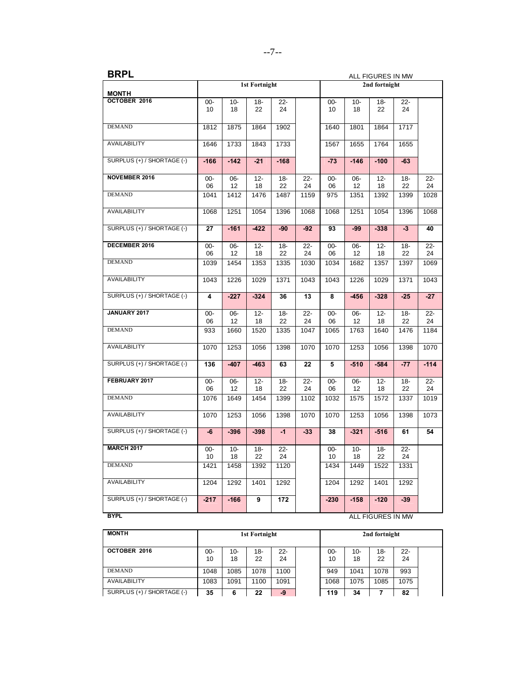| <b>BRPL</b>                  |              |                        |               |              |                 |              | ALL FIGURES IN MW           |                   |                       |              |  |  |  |
|------------------------------|--------------|------------------------|---------------|--------------|-----------------|--------------|-----------------------------|-------------------|-----------------------|--------------|--|--|--|
|                              |              |                        | 1st Fortnight |              |                 |              |                             | 2nd fortnight     |                       |              |  |  |  |
| <b>MONTH</b><br>OCTOBER 2016 |              |                        |               |              |                 |              |                             |                   |                       |              |  |  |  |
|                              | $00 -$<br>10 | $10 -$<br>18           | $18 -$<br>22  | $22 -$<br>24 |                 | $00 -$<br>10 | $10-$<br>18                 | $18 -$<br>22      | $22 -$<br>24          |              |  |  |  |
| <b>DEMAND</b>                | 1812         | 1875                   | 1864          | 1902         |                 | 1640         | 1801                        | 1864              | 1717                  |              |  |  |  |
| <b>AVAILABILITY</b>          | 1646         | 1733                   | 1843          | 1733         |                 | 1567         | 1655                        | 1764              | 1655                  |              |  |  |  |
| SURPLUS (+) / SHORTAGE (-)   | $-166$       | $-142$                 | $-21$         | $-168$       |                 | $-73$        | $-146$                      | $-100$            | $-63$                 |              |  |  |  |
| NOVEMBER 2016                | $00 -$<br>06 | 06-<br>12 <sup>2</sup> | $12 -$<br>18  | $18 -$<br>22 | $22 -$<br>24    | $00 -$<br>06 | $06 -$<br>12                | $12 -$<br>18      | $18 -$<br>22          | $22 -$<br>24 |  |  |  |
| <b>DEMAND</b>                | 1041         | 1412                   | 1476          | 1487         | 1159            | 975          | 1351                        | 1392              | 1399                  | 1028         |  |  |  |
| AVAILABILITY                 | 1068         | 1251                   | 1054          | 1396         | 1068            | 1068         | 1251                        | 1054              | 1396                  | 1068         |  |  |  |
| SURPLUS (+) / SHORTAGE (-)   | 27           | $-161$                 | $-422$        | $-90$        | $-92$           | 93           | $-99$                       | $-338$            | $-3$                  | 40           |  |  |  |
| <b>DECEMBER 2016</b>         | $00 -$<br>06 | $06 -$<br>12           | $12 -$<br>18  | $18 -$<br>22 | $22 -$<br>24    | $00 -$<br>06 | $06 -$<br>12                | $12 -$<br>18      | $18 -$<br>22          | $22 -$<br>24 |  |  |  |
| <b>DEMAND</b>                | 1039         | 1454                   | 1353          | 1335         | 1030            | 1034         | 1682                        | 1357              | 1397                  | 1069         |  |  |  |
| <b>AVAILABILITY</b>          | 1043         | 1226                   | 1029          | 1371         | 1043            | 1043         | 1226                        | 1029              | 1371                  | 1043         |  |  |  |
| SURPLUS (+) / SHORTAGE (-)   | 4            | $-227$                 | $-324$        | 36           | 13              | 8            | $-456$                      | $-328$            | $-25$                 | $-27$        |  |  |  |
| JANUARY 2017                 | $00 -$<br>06 | 06-<br>12              | $12 -$<br>18  | $18 -$<br>22 | $22 -$<br>24    | $00 -$<br>06 | $06 -$<br>12                | $12 -$<br>18      | $18 -$<br>22          | $22 -$<br>24 |  |  |  |
| <b>DEMAND</b>                | 933          | 1660                   | 1520          | 1335         | 1047            | 1065         | 1763                        | 1640              | 1476                  | 1184         |  |  |  |
| <b>AVAILABILITY</b>          | 1070         | 1253                   | 1056          | 1398         | 1070            | 1070         | 1253                        | 1056              | 1398                  | 1070         |  |  |  |
| SURPLUS (+) / SHORTAGE (-)   | 136          | $-407$                 | $-463$        | 63           | $\overline{22}$ | 5            | $-510$                      | $-584$            | $-77$                 | $-114$       |  |  |  |
| FEBRUARY 2017                | $00 -$<br>06 | 06-<br>12              | $12 -$<br>18  | $18 -$<br>22 | $22 -$<br>24    | $00 -$<br>06 | $06 -$<br>$12 \overline{ }$ | $12 -$<br>18      | $18 -$<br>22          | $22 -$<br>24 |  |  |  |
| <b>DEMAND</b>                | 1076         | 1649                   | 1454          | 1399         | 1102            | 1032         | 1575                        | 1572              | 1337                  | 1019         |  |  |  |
| AVAILABILITY                 | 1070         | 1253                   | 1056          | 1398         | 1070            | 1070         | 1253                        | 1056              | 1398                  | 1073         |  |  |  |
| SURPLUS (+) / SHORTAGE (-)   | $-6$         | $-396$                 | $-398$        | $-1$         | $-33$           | 38           | $-321$                      | $-516$            | 61                    | 54           |  |  |  |
| <b>MARCH 2017</b>            | $00 -$<br>10 | $10-$<br>18            | $18 -$<br>22  | $22 -$<br>24 |                 | $00 -$<br>10 | $10 -$<br>18                | $18 -$<br>22      | $\overline{22}$<br>24 |              |  |  |  |
| <b>DEMAND</b>                | 1421         | 1458                   | 1392          | 1120         |                 | 1434         | 1449                        | 1522              | 1331                  |              |  |  |  |
| <b>AVAILABILITY</b>          | 1204         | 1292                   | 1401          | 1292         |                 | 1204         | 1292                        | 1401              | 1292                  |              |  |  |  |
| SURPLUS (+) / SHORTAGE (-)   | $-217$       | $-166$                 | 9             | 172          |                 | $-230$       | $-158$                      | $-120$            | $-39$                 |              |  |  |  |
| <b>BYPL</b>                  |              |                        |               |              |                 |              |                             | ALL FIGURES IN MW |                       |              |  |  |  |

| <b>MONTH</b>               |           |           | 1st Fortnight |              | 2nd fortnight |           |           |           |              |  |
|----------------------------|-----------|-----------|---------------|--------------|---------------|-----------|-----------|-----------|--------------|--|
| OCTOBER 2016               | 00-<br>10 | 10-<br>18 | 18-<br>22     | $22 -$<br>24 |               | 00-<br>10 | 10-<br>18 | 18-<br>22 | $22 -$<br>24 |  |
| <b>DEMAND</b>              | 1048      | 1085      | 1078          | 1100         |               | 949       | 1041      | 1078      | 993          |  |
| <b>AVAILABILITY</b>        | 1083      | 1091      | 1100          | 1091         |               | 1068      | 1075      | 1085      | 1075         |  |
| SURPLUS (+) / SHORTAGE (-) | 35        | 6         | 22            | $-9$         |               | 119       | 34        |           | 82           |  |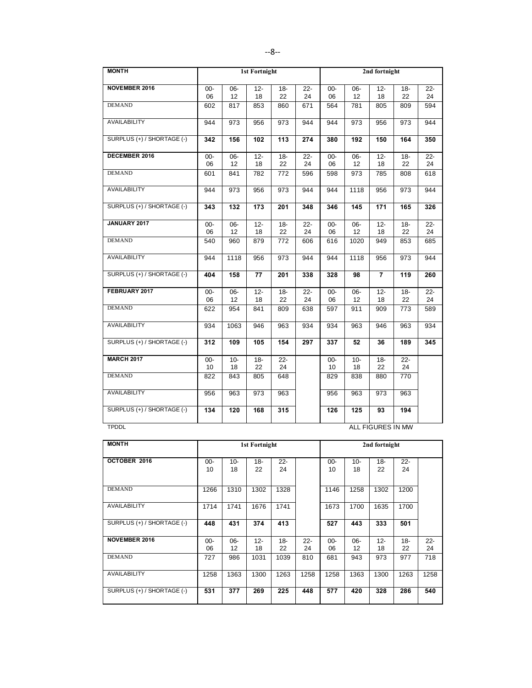| <b>MONTH</b>               | <b>1st Fortnight</b><br>2nd fortnight |              |              |                       |                  |              | $12 -$<br>$18 -$<br>18<br>22<br>12<br>805<br>809<br>973<br>956<br>150<br>164<br>$12 -$<br>$18 -$<br>18<br>12<br>22<br>785<br>808<br>973<br>956<br>$\frac{1}{171}$<br>165<br>$12 -$<br>$18 -$<br>12<br>18<br>22<br>949<br>853<br>956<br>973<br>$\overline{7}$<br>119<br>98<br>$12 -$<br>$18-$<br>12<br>18<br>22<br>909<br>773<br>946<br>963 |                   |                       |              |
|----------------------------|---------------------------------------|--------------|--------------|-----------------------|------------------|--------------|--------------------------------------------------------------------------------------------------------------------------------------------------------------------------------------------------------------------------------------------------------------------------------------------------------------------------------------------|-------------------|-----------------------|--------------|
| NOVEMBER 2016              | $00-$<br>06                           | 06-<br>12    | $12 -$<br>18 | $18 -$<br>22          | $22 -$<br>24     | $00 -$<br>06 | $06 -$                                                                                                                                                                                                                                                                                                                                     |                   |                       | $22 -$<br>24 |
| <b>DEMAND</b>              | 602                                   | 817          | 853          | 860                   | 671              | 564          | 781                                                                                                                                                                                                                                                                                                                                        |                   |                       | 594          |
| <b>AVAILABILITY</b>        | 944                                   | 973          | 956          | 973                   | 944              | 944          | 973                                                                                                                                                                                                                                                                                                                                        |                   |                       | 944          |
| SURPLUS (+) / SHORTAGE (-) | 342                                   | 156          | 102          | 113                   | 274              | 380          | 192                                                                                                                                                                                                                                                                                                                                        |                   |                       | 350          |
| DECEMBER 2016              | $00-$<br>06                           | $06 -$<br>12 | $12 -$<br>18 | $18 -$<br>22          | $22 -$<br>24     | $00-$<br>06  | $06 -$                                                                                                                                                                                                                                                                                                                                     |                   |                       | $22 -$<br>24 |
| <b>DEMAND</b>              | 601                                   | 841          | 782          | 772                   | 596              | 598          | 973                                                                                                                                                                                                                                                                                                                                        |                   |                       | 618          |
| <b>AVAILABILITY</b>        | 944                                   | 973          | 956          | 973                   | 944              | 944          | 1118                                                                                                                                                                                                                                                                                                                                       |                   |                       | 944          |
| SURPLUS (+) / SHORTAGE (-) | 343                                   | 132          | 173          | 201                   | 348              | 346          | 145                                                                                                                                                                                                                                                                                                                                        |                   |                       | 326          |
| JANUARY 2017               | $00 -$<br>06                          | $06 -$<br>12 | $12 -$<br>18 | $18 -$<br>22          | $22 -$<br>24     | $00 -$<br>06 | $06 -$                                                                                                                                                                                                                                                                                                                                     |                   |                       | $22 -$<br>24 |
| <b>DEMAND</b>              | 540                                   | 960          | 879          | 772                   | 606              | 616          | 1020                                                                                                                                                                                                                                                                                                                                       |                   |                       | 685          |
| AVAILABILITY               | 944                                   | 1118         | 956          | 973                   | 944              | 944          | 1118                                                                                                                                                                                                                                                                                                                                       |                   |                       | 944          |
| SURPLUS (+) / SHORTAGE (-) | 404                                   | 158          | 77           | 201                   | 338              | 328          |                                                                                                                                                                                                                                                                                                                                            |                   |                       | 260          |
| FEBRUARY 2017              | $00 -$<br>06                          | 06-<br>12    | $12 -$<br>18 | $18-$<br>22           | $22 -$<br>24     | $00-$<br>06  | 06-                                                                                                                                                                                                                                                                                                                                        |                   |                       | $22 -$<br>24 |
| <b>DEMAND</b>              | 622                                   | 954          | 841          | 809                   | 638              | 597          | 911                                                                                                                                                                                                                                                                                                                                        |                   |                       | 589          |
| <b>AVAILABILITY</b>        | 934                                   | 1063         | 946          | 963                   | 934              | 934          | 963                                                                                                                                                                                                                                                                                                                                        |                   |                       | 934          |
| SURPLUS (+) / SHORTAGE (-) | $\overline{312}$                      | 109          | 105          | 154                   | $\overline{297}$ | 337          | 52                                                                                                                                                                                                                                                                                                                                         | 36                | 189                   | 345          |
| <b>MARCH 2017</b>          | $00-$<br>10                           | $10-$<br>18  | $18 -$<br>22 | $\overline{22}$<br>24 |                  | $00 -$<br>10 | $10-$<br>18                                                                                                                                                                                                                                                                                                                                | $18 -$<br>22      | $\overline{22}$<br>24 |              |
| <b>DEMAND</b>              | 822                                   | 843          | 805          | 648                   |                  | 829          | 838                                                                                                                                                                                                                                                                                                                                        | 880               | 770                   |              |
| AVAILABILITY               | 956                                   | 963          | 973          | 963                   |                  | 956          | 963                                                                                                                                                                                                                                                                                                                                        | 973               | 963                   |              |
| SURPLUS (+) / SHORTAGE (-) | 134                                   | 120          | 168          | 315                   |                  | 126          | 125                                                                                                                                                                                                                                                                                                                                        | 93                | 194                   |              |
| <b>TPDDL</b>               |                                       |              |              |                       |                  |              |                                                                                                                                                                                                                                                                                                                                            | ALL FIGURES IN MW |                       |              |

**MONTH 1st Fortnight 2nd fortnight OCTOBER 2016** 00-10 10- 18 18- 22 22- 24 00- 10 10- 18 18- 22 22- 24 DEMAND 1266 1310 1302 1328 1146 1258 1302 1200 AVAILABILITY 1714 1741 1676 1741 1673 1700 1635 1700 SURPLUS (+) / SHORTAGE (-) **448 431 374 413 527 443 333 501 NOVEMBER 2016** 00-06 06- 12 12- 18 18- 22 22- 24 00- 06 06- 12 12- 18 18- 22 22- 24 DEMAND 727 986 1031 1039 810 681 943 973 977 718 AVAILABILITY 1258 1363 1300 1263 1258 1258 1363 1300 1263 1258 SURPLUS (+) / SHORTAGE (-) **531 377 269 225 448 577 420 328 286 540**

#### --8--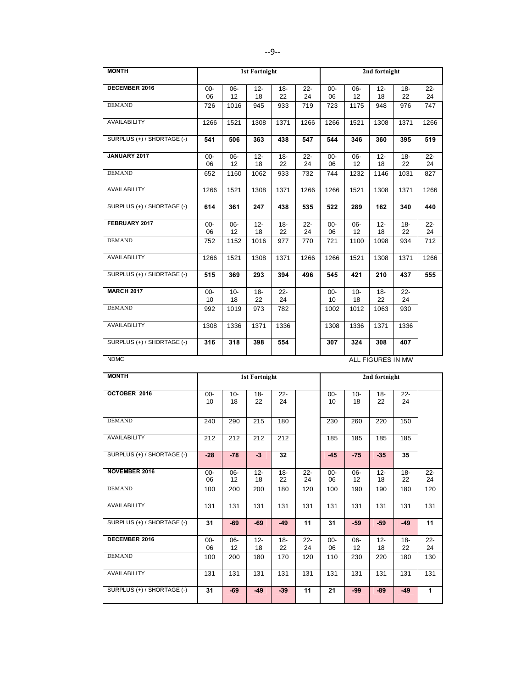| <b>MONTH</b>               |              |              | 1st Fortnight |              |              |              |             | 2nd fortnight     |              |              |
|----------------------------|--------------|--------------|---------------|--------------|--------------|--------------|-------------|-------------------|--------------|--------------|
| <b>DECEMBER 2016</b>       | $00 -$<br>06 | 06-<br>12    | $12 -$<br>18  | 18-<br>22    | $22 -$<br>24 | $00 -$<br>06 | 06-<br>12   | $12 -$<br>18      | $18 -$<br>22 | $22 -$<br>24 |
| <b>DEMAND</b>              | 726          | 1016         | 945           | 933          | 719          | 723          | 1175        | 948               | 976          | 747          |
| <b>AVAILABILITY</b>        | 1266         | 1521         | 1308          | 1371         | 1266         | 1266         | 1521        | 1308              | 1371         | 1266         |
| SURPLUS (+) / SHORTAGE (-) | 541          | 506          | 363           | 438          | 547          | 544          | 346         | 360               | 395          | 519          |
| JANUARY 2017               | $00 -$<br>06 | 06-<br>12    | $12 -$<br>18  | $18 -$<br>22 | $22 -$<br>24 | $00 -$<br>06 | 06-<br>12   | $12 -$<br>18      | $18 -$<br>22 | $22 -$<br>24 |
| <b>DEMAND</b>              | 652          | 1160         | 1062          | 933          | 732          | 744          | 1232        | 1146              | 1031         | 827          |
| AVAILABILITY               | 1266         | 1521         | 1308          | 1371         | 1266         | 1266         | 1521        | 1308              | 1371         | 1266         |
| SURPLUS (+) / SHORTAGE (-) | 614          | 361          | 247           | 438          | 535          | 522          | 289         | 162               | 340          | 440          |
| FEBRUARY 2017              | $00-$<br>06  | 06-<br>12    | $12 -$<br>18  | $18 -$<br>22 | $22 -$<br>24 | $00 -$<br>06 | 06-<br>12   | $12 -$<br>18      | $18 -$<br>22 | $22 -$<br>24 |
| <b>DEMAND</b>              | 752          | 1152         | 1016          | 977          | 770          | 721          | 1100        | 1098              | 934          | 712          |
| <b>AVAILABILITY</b>        | 1266         | 1521         | 1308          | 1371         | 1266         | 1266         | 1521        | 1308              | 1371         | 1266         |
| SURPLUS (+) / SHORTAGE (-) | 515          | 369          | 293           | 394          | 496          | 545          | 421         | 210               | 437          | 555          |
| <b>MARCH 2017</b>          | $00-$<br>10  | $10 -$<br>18 | $18 -$<br>22  | $22 -$<br>24 |              | $00 -$<br>10 | $10-$<br>18 | $18 -$<br>22      | $22 -$<br>24 |              |
| <b>DEMAND</b>              | 992          | 1019         | 973           | 782          |              | 1002         | 1012        | 1063              | 930          |              |
| <b>AVAILABILITY</b>        | 1308         | 1336         | 1371          | 1336         |              | 1308         | 1336        | 1371              | 1336         |              |
| SURPLUS (+) / SHORTAGE (-) | 316          | 318          | 398           | 554          |              | 307          | 324         | 308               | 407          |              |
| <b>NDMC</b>                |              |              |               |              |              |              |             | ALL FIGURES IN MW |              |              |

| <b>MONTH</b>               |              |              | 1st Fortnight |              |              |              |              | 2nd fortnight |              |              |
|----------------------------|--------------|--------------|---------------|--------------|--------------|--------------|--------------|---------------|--------------|--------------|
| OCTOBER 2016               | $00 -$<br>10 | $10 -$<br>18 | $18 -$<br>22  | $22 -$<br>24 |              | $00 -$<br>10 | $10 -$<br>18 | 18-<br>22     | $22 -$<br>24 |              |
| <b>DEMAND</b>              | 240          | 290          | 215           | 180          |              | 230          | 260          | 220           | 150          |              |
| <b>AVAILABILITY</b>        | 212          | 212          | 212           | 212          |              | 185          | 185          | 185           | 185          |              |
| SURPLUS (+) / SHORTAGE (-) | $-28$        | $-78$        | $-3$          | 32           |              | $-45$        | $-75$        | $-35$         | 35           |              |
| <b>NOVEMBER 2016</b>       | $00 -$<br>06 | 06-<br>12    | $12 -$<br>18  | $18 -$<br>22 | $22 -$<br>24 | $00 -$<br>06 | $06 -$<br>12 | $12 -$<br>18  | $18 -$<br>22 | $22 -$<br>24 |
| <b>DEMAND</b>              | 100          | 200          | 200           | 180          | 120          | 100          | 190          | 190           | 180          | 120          |
| <b>AVAILABILITY</b>        | 131          | 131          | 131           | 131          | 131          | 131          | 131          | 131           | 131          | 131          |
| SURPLUS (+) / SHORTAGE (-) | 31           | $-69$        | $-69$         | $-49$        | 11           | 31           | $-59$        | $-59$         | $-49$        | 11           |
| <b>DECEMBER 2016</b>       | $00 -$<br>06 | 06-<br>12    | $12 -$<br>18  | $18 -$<br>22 | $22 -$<br>24 | $00-$<br>06  | $06 -$<br>12 | $12 -$<br>18  | $18 -$<br>22 | $22 -$<br>24 |
| <b>DEMAND</b>              | 100          | 200          | 180           | 170          | 120          | 110          | 230          | 220           | 180          | 130          |
| <b>AVAILABILITY</b>        | 131          | 131          | 131           | 131          | 131          | 131          | 131          | 131           | 131          | 131          |
| SURPLUS (+) / SHORTAGE (-) | 31           | $-69$        | $-49$         | $-39$        | 11           | 21           | -99          | $-89$         | $-49$        | 1            |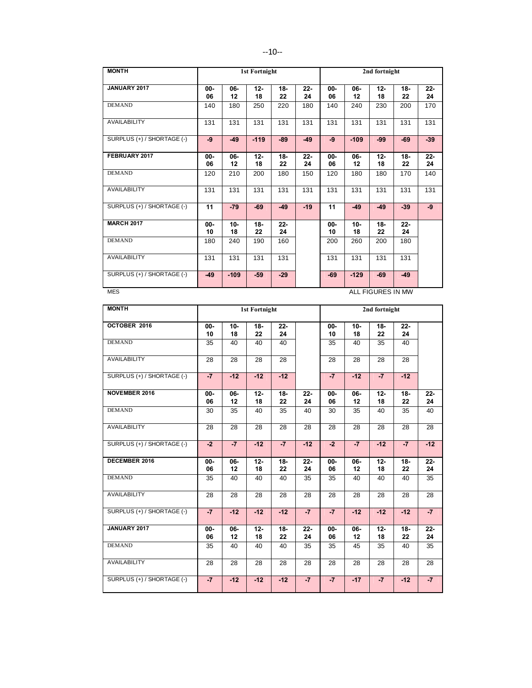| <b>MONTH</b>               |              |             | <b>1st Fortnight</b> |              |              |              |             | 2nd fortnight     |              |              |
|----------------------------|--------------|-------------|----------------------|--------------|--------------|--------------|-------------|-------------------|--------------|--------------|
| JANUARY 2017               | $00 -$<br>06 | 06-<br>12   | $12 -$<br>18         | $18 -$<br>22 | $22 -$<br>24 | $00 -$<br>06 | 06-<br>12   | $12 -$<br>18      | $18 -$<br>22 | $22 -$<br>24 |
| <b>DEMAND</b>              | 140          | 180         | 250                  | 220          | 180          | 140          | 240         | 230               | 200          | 170          |
| <b>AVAILABILITY</b>        | 131          | 131         | 131                  | 131          | 131          | 131          | 131         | 131               | 131          | 131          |
| SURPLUS (+) / SHORTAGE (-) | $-9$         | $-49$       | $-119$               | $-89$        | $-49$        | -9           | $-109$      | $-99$             | $-69$        | $-39$        |
| FEBRUARY 2017              | $00 -$<br>06 | 06-<br>12   | $12 -$<br>18         | $18 -$<br>22 | $22 -$<br>24 | $00 -$<br>06 | 06-<br>12   | $12 -$<br>18      | $18 -$<br>22 | $22 -$<br>24 |
| <b>DEMAND</b>              | 120          | 210         | 200                  | 180          | 150          | 120          | 180         | 180               | 170          | 140          |
| <b>AVAILABILITY</b>        | 131          | 131         | 131                  | 131          | 131          | 131          | 131         | 131               | 131          | 131          |
| SURPLUS (+) / SHORTAGE (-) | 11           | $-79$       | $-69$                | $-49$        | $-19$        | 11           | $-49$       | $-49$             | $-39$        | $-9$         |
| <b>MARCH 2017</b>          | $00 -$<br>10 | $10-$<br>18 | $18 -$<br>22         | $22 -$<br>24 |              | $00 -$<br>10 | $10-$<br>18 | $18 -$<br>22      | $22 -$<br>24 |              |
| <b>DEMAND</b>              | 180          | 240         | 190                  | 160          |              | 200          | 260         | 200               | 180          |              |
| <b>AVAILABILITY</b>        | 131          | 131         | 131                  | 131          |              | 131          | 131         | 131               | 131          |              |
| SURPLUS (+) / SHORTAGE (-) | $-49$        | $-109$      | $-59$                | $-29$        |              | $-69$        | $-129$      | $-69$             | $-49$        |              |
| <b>MES</b>                 |              |             |                      |              |              |              |             | ALL FIGURES IN MW |              |              |

| <b>MONTH</b>               | 1st Fortnight |             |              |                 | 2nd fortnight |             |              |              |              |              |
|----------------------------|---------------|-------------|--------------|-----------------|---------------|-------------|--------------|--------------|--------------|--------------|
| OCTOBER 2016               | $00-$<br>10   | $10-$<br>18 | $18 -$<br>22 | $22 -$<br>24    |               | $00-$<br>10 | $10 -$<br>18 | $18 -$<br>22 | $22 -$<br>24 |              |
| <b>DEMAND</b>              | 35            | 40          | 40           | 40              |               | 35          | 40           | 35           | 40           |              |
| AVAILABILITY               | 28            | 28          | 28           | $\overline{28}$ |               | 28          | 28           | 28           | 28           |              |
| SURPLUS (+) / SHORTAGE (-) | $-7$          | $-12$       | $-12$        | $-12$           |               | $-7$        | $-12$        | $-7$         | $-12$        |              |
| <b>NOVEMBER 2016</b>       | $00-$<br>06   | 06-<br>12   | $12 -$<br>18 | $18 -$<br>22    | $22 -$<br>24  | 00-<br>06   | 06-<br>12    | $12 -$<br>18 | $18 -$<br>22 | $22 -$<br>24 |
| <b>DEMAND</b>              | 30            | 35          | 40           | 35              | 40            | 30          | 35           | 40           | 35           | 40           |
| <b>AVAILABILITY</b>        | 28            | 28          | 28           | 28              | 28            | 28          | 28           | 28           | 28           | 28           |
| SURPLUS (+) / SHORTAGE (-) | $-2$          | $-7$        | $-12$        | $-7$            | $-12$         | $-2$        | $-7$         | $-12$        | $-7$         | $-12$        |
| DECEMBER 2016              | $00-$<br>06   | 06-<br>12   | $12 -$<br>18 | $18 -$<br>22    | $22 -$<br>24  | $00-$<br>06 | 06-<br>12    | $12 -$<br>18 | $18 -$<br>22 | $22 -$<br>24 |
| <b>DEMAND</b>              | 35            | 40          | 40           | 40              | 35            | 35          | 40           | 40           | 40           | 35           |
| AVAILABILITY               | 28            | 28          | 28           | 28              | 28            | 28          | 28           | 28           | 28           | 28           |
| SURPLUS (+) / SHORTAGE (-) | $-7$          | $-12$       | $-12$        | $-12$           | $-7$          | $-7$        | $-12$        | $-12$        | $-12$        | $-7$         |
| JANUARY 2017               | 00-<br>06     | 06-<br>12   | $12 -$<br>18 | $18 -$<br>22    | $22 -$<br>24  | 00-<br>06   | 06-<br>12    | $12 -$<br>18 | $18 -$<br>22 | $22 -$<br>24 |
| <b>DEMAND</b>              | 35            | 40          | 40           | 40              | 35            | 35          | 45           | 35           | 40           | 35           |
| AVAILABILITY               | 28            | 28          | 28           | 28              | 28            | 28          | 28           | 28           | 28           | 28           |
| SURPLUS (+) / SHORTAGE (-) | $-7$          | $-12$       | $-12$        | $-12$           | $-7$          | $-7$        | $-17$        | $-7$         | $-12$        | $-7$         |

#### --10--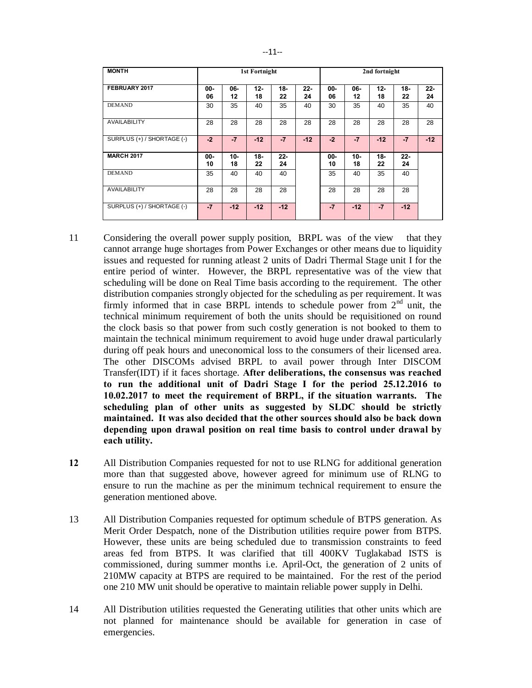| <b>MONTH</b>               | 1st Fortnight |             |              | 2nd fortnight |              |           |             |              |              |              |
|----------------------------|---------------|-------------|--------------|---------------|--------------|-----------|-------------|--------------|--------------|--------------|
| FEBRUARY 2017              | 00-<br>06     | 06-<br>12   | $12 -$<br>18 | $18 -$<br>22  | $22 -$<br>24 | 00-<br>06 | 06-<br>12   | $12-$<br>18  | $18 -$<br>22 | $22 -$<br>24 |
| <b>DEMAND</b>              | 30            | 35          | 40           | 35            | 40           | 30        | 35          | 40           | 35           | 40           |
| <b>AVAILABILITY</b>        | 28            | 28          | 28           | 28            | 28           | 28        | 28          | 28           | 28           | 28           |
| SURPLUS (+) / SHORTAGE (-) | $-2$          | $-7$        | $-12$        | $-7$          | $-12$        | $-2$      | $-7$        | $-12$        | $-7$         | $-12$        |
| <b>MARCH 2017</b>          | 00-<br>10     | $10-$<br>18 | 18-<br>22    | $22 -$<br>24  |              | 00-<br>10 | $10-$<br>18 | $18 -$<br>22 | $22 -$<br>24 |              |
| <b>DEMAND</b>              | 35            | 40          | 40           | 40            |              | 35        | 40          | 35           | 40           |              |
| <b>AVAILABILITY</b>        | 28            | 28          | 28           | 28            |              | 28        | 28          | 28           | 28           |              |
| SURPLUS (+) / SHORTAGE (-) | $-7$          | $-12$       | $-12$        | $-12$         |              | $-7$      | $-12$       | $-7$         | $-12$        |              |

- 11 Considering the overall power supply position, BRPL was of the view that they cannot arrange huge shortages from Power Exchanges or other means due to liquidity issues and requested for running atleast 2 units of Dadri Thermal Stage unit I for the entire period of winter. However, the BRPL representative was of the view that scheduling will be done on Real Time basis according to the requirement. The other distribution companies strongly objected for the scheduling as per requirement. It was firmly informed that in case BRPL intends to schedule power from  $2<sup>nd</sup>$  unit, the technical minimum requirement of both the units should be requisitioned on round the clock basis so that power from such costly generation is not booked to them to maintain the technical minimum requirement to avoid huge under drawal particularly during off peak hours and uneconomical loss to the consumers of their licensed area. The other DISCOMs advised BRPL to avail power through Inter DISCOM Transfer(IDT) if it faces shortage. **After deliberations, the consensus was reached to run the additional unit of Dadri Stage I for the period 25.12.2016 to 10.02.2017 to meet the requirement of BRPL, if the situation warrants. The scheduling plan of other units as suggested by SLDC should be strictly maintained. It was also decided that the other sources should also be back down depending upon drawal position on real time basis to control under drawal by each utility.**
- **12** All Distribution Companies requested for not to use RLNG for additional generation more than that suggested above, however agreed for minimum use of RLNG to ensure to run the machine as per the minimum technical requirement to ensure the generation mentioned above.
- 13 All Distribution Companies requested for optimum schedule of BTPS generation. As Merit Order Despatch, none of the Distribution utilities require power from BTPS. However, these units are being scheduled due to transmission constraints to feed areas fed from BTPS. It was clarified that till 400KV Tuglakabad ISTS is commissioned, during summer months i.e. April-Oct, the generation of 2 units of 210MW capacity at BTPS are required to be maintained. For the rest of the period one 210 MW unit should be operative to maintain reliable power supply in Delhi.
- 14 All Distribution utilities requested the Generating utilities that other units which are not planned for maintenance should be available for generation in case of emergencies.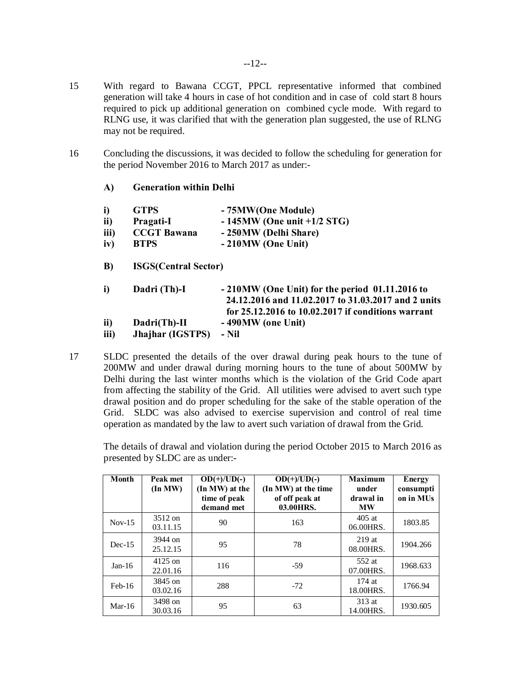- 15 With regard to Bawana CCGT, PPCL representative informed that combined generation will take 4 hours in case of hot condition and in case of cold start 8 hours required to pick up additional generation on combined cycle mode. With regard to RLNG use, it was clarified that with the generation plan suggested, the use of RLNG may not be required.
- 16 Concluding the discussions, it was decided to follow the scheduling for generation for the period November 2016 to March 2017 as under:-
	- **A) Generation within Delhi**

| i)   | <b>GTPS</b>        | - 75MW(One Module)             |
|------|--------------------|--------------------------------|
| ii)  | Pragati-I          | $-145MW$ (One unit $+1/2$ STG) |
| iii) | <b>CCGT</b> Bawana | - 250MW (Delhi Share)          |

- **iv) BTPS - 210MW (One Unit)**
- **B) ISGS(Central Sector)**

| i)   | Dadri (Th)-I     | $-210MW$ (One Unit) for the period $01.11.2016$ to<br>24,12,2016 and 11,02,2017 to 31,03,2017 and 2 units |
|------|------------------|-----------------------------------------------------------------------------------------------------------|
|      |                  | for 25.12.2016 to 10.02.2017 if conditions warrant                                                        |
| ii)  | Dadri(Th)-II     | $-490MW$ (one Unit)                                                                                       |
| iii) | Jhajhar (IGSTPS) | – Nil                                                                                                     |

17 SLDC presented the details of the over drawal during peak hours to the tune of 200MW and under drawal during morning hours to the tune of about 500MW by Delhi during the last winter months which is the violation of the Grid Code apart from affecting the stability of the Grid. All utilities were advised to avert such type drawal position and do proper scheduling for the sake of the stable operation of the Grid. SLDC was also advised to exercise supervision and control of real time operation as mandated by the law to avert such variation of drawal from the Grid.

The details of drawal and violation during the period October 2015 to March 2016 as presented by SLDC are as under:-

| Month    | Peak met<br>$(\text{In MW})$ | $OD(+)/UD(-)$<br>(In MW) at the<br>time of peak<br>demand met | $OD(+)/UD(-)$<br>(In MW) at the time<br>of off peak at<br>03.00HRS. | <b>Maximum</b><br>under<br>drawal in<br><b>MW</b> | <b>Energy</b><br>consumpti<br>on in MUs |
|----------|------------------------------|---------------------------------------------------------------|---------------------------------------------------------------------|---------------------------------------------------|-----------------------------------------|
| $Nov-15$ | 3512 on<br>03.11.15          | 90                                                            | 163                                                                 | $405$ at<br>06.00HRS.                             | 1803.85                                 |
| $Dec-15$ | 3944 on<br>25.12.15          | 95                                                            | 78                                                                  | $219$ at<br>08.00HRS.                             | 1904.266                                |
| $Jan-16$ | $4125$ on<br>22.01.16        | 116                                                           | -59                                                                 | 552 at<br>07.00HRS.                               | 1968.633                                |
| $Feb-16$ | 3845 on<br>03.02.16          | 288                                                           | $-72$                                                               | $174$ at<br>18.00HRS.                             | 1766.94                                 |
| $Mar-16$ | 3498 on<br>30.03.16          | 95                                                            | 63                                                                  | 313 at<br>14.00HRS.                               | 1930.605                                |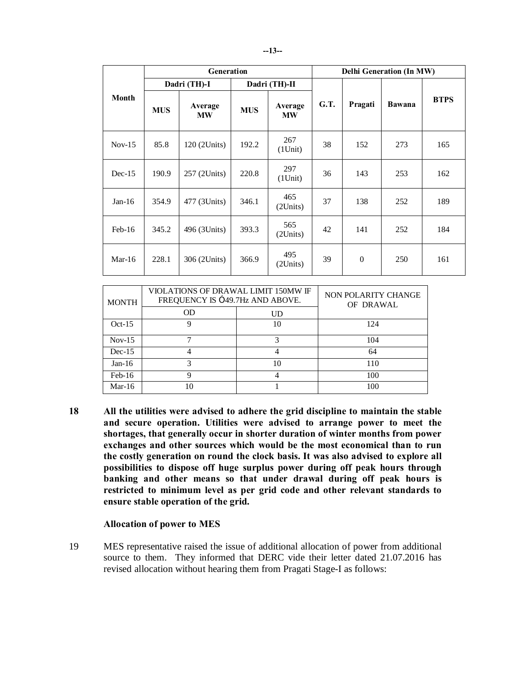|          |            | <b>Generation</b>    |            |                      | <b>Delhi Generation (In MW)</b> |          |               |             |
|----------|------------|----------------------|------------|----------------------|---------------------------------|----------|---------------|-------------|
|          |            | Dadri (TH)-I         |            | Dadri (TH)-II        |                                 |          |               |             |
| Month    | <b>MUS</b> | Average<br><b>MW</b> | <b>MUS</b> | Average<br><b>MW</b> | G.T.                            | Pragati  | <b>Bawana</b> | <b>BTPS</b> |
| $Nov-15$ | 85.8       | 120 (2Units)         | 192.2      | 267<br>(1Unit)       | 38                              | 152      | 273           | 165         |
| $Dec-15$ | 190.9      | 257 (2Units)         | 220.8      | 297<br>(1Unit)       | 36                              | 143      | 253           | 162         |
| $Jan-16$ | 354.9      | 477 (3Units)         | 346.1      | 465<br>(2Units)      | 37                              | 138      | 252           | 189         |
| $Feb-16$ | 345.2      | 496 (3Units)         | 393.3      | 565<br>(2Units)      | 42                              | 141      | 252           | 184         |
| Mar-16   | 228.1      | 306 (2Units)         | 366.9      | 495<br>(2Units)      | 39                              | $\theta$ | 250           | 161         |

| <b>MONTH</b> | VIOLATIONS OF DRAWAL LIMIT 150MW IF<br>FREQUENCY IS $\times$ 49.7Hz AND ABOVE. | NON POLARITY CHANGE<br>OF DRAWAL |     |
|--------------|--------------------------------------------------------------------------------|----------------------------------|-----|
|              | <b>OD</b>                                                                      |                                  |     |
| $Oct-15$     |                                                                                | 10                               | 124 |
| $Nov-15$     |                                                                                | 3                                | 104 |
| $Dec-15$     |                                                                                |                                  | 64  |
| $Jan-16$     | 2                                                                              | 10                               | 110 |
| $Feb-16$     |                                                                                |                                  | 100 |
| Mar-16       | 10                                                                             |                                  | 100 |

**18 All the utilities were advised to adhere the grid discipline to maintain the stable and secure operation. Utilities were advised to arrange power to meet the shortages, that generally occur in shorter duration of winter months from power exchanges and other sources which would be the most economical than to run the costly generation on round the clock basis. It was also advised to explore all possibilities to dispose off huge surplus power during off peak hours through banking and other means so that under drawal during off peak hours is restricted to minimum level as per grid code and other relevant standards to ensure stable operation of the grid.**

#### **Allocation of power to MES**

19 MES representative raised the issue of additional allocation of power from additional source to them. They informed that DERC vide their letter dated 21.07.2016 has revised allocation without hearing them from Pragati Stage-I as follows: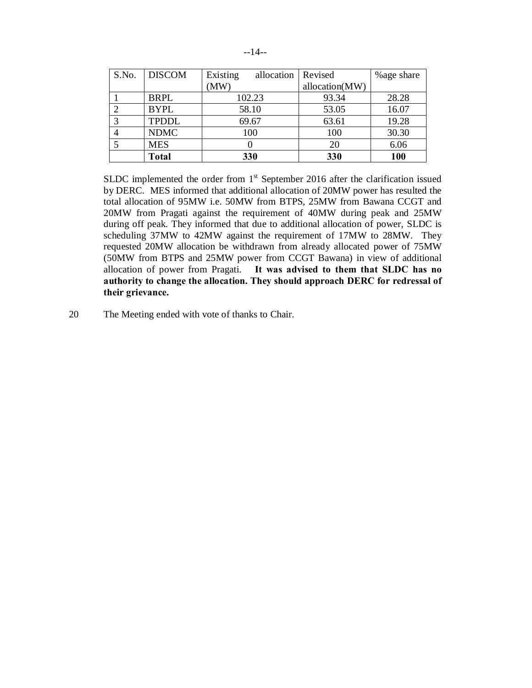| S.No. | <b>DISCOM</b> | Existing<br>allocation | Revised        | %age share |
|-------|---------------|------------------------|----------------|------------|
|       |               | (MW)                   | allocation(MW) |            |
|       | <b>BRPL</b>   | 102.23                 | 93.34          | 28.28      |
|       | <b>BYPL</b>   | 58.10                  | 53.05          | 16.07      |
|       | <b>TPDDL</b>  | 69.67                  | 63.61          | 19.28      |
|       | <b>NDMC</b>   | 100                    | 100            | 30.30      |
|       | <b>MES</b>    |                        | 20             | 6.06       |
|       | <b>Total</b>  | 330                    | 330            | 100        |

SLDC implemented the order from  $1<sup>st</sup>$  September 2016 after the clarification issued by DERC. MES informed that additional allocation of 20MW power has resulted the total allocation of 95MW i.e. 50MW from BTPS, 25MW from Bawana CCGT and 20MW from Pragati against the requirement of 40MW during peak and 25MW during off peak. They informed that due to additional allocation of power, SLDC is scheduling 37MW to 42MW against the requirement of 17MW to 28MW. They requested 20MW allocation be withdrawn from already allocated power of 75MW (50MW from BTPS and 25MW power from CCGT Bawana) in view of additional allocation of power from Pragati. **It was advised to them that SLDC has no authority to change the allocation. They should approach DERC for redressal of their grievance.**

20 The Meeting ended with vote of thanks to Chair.